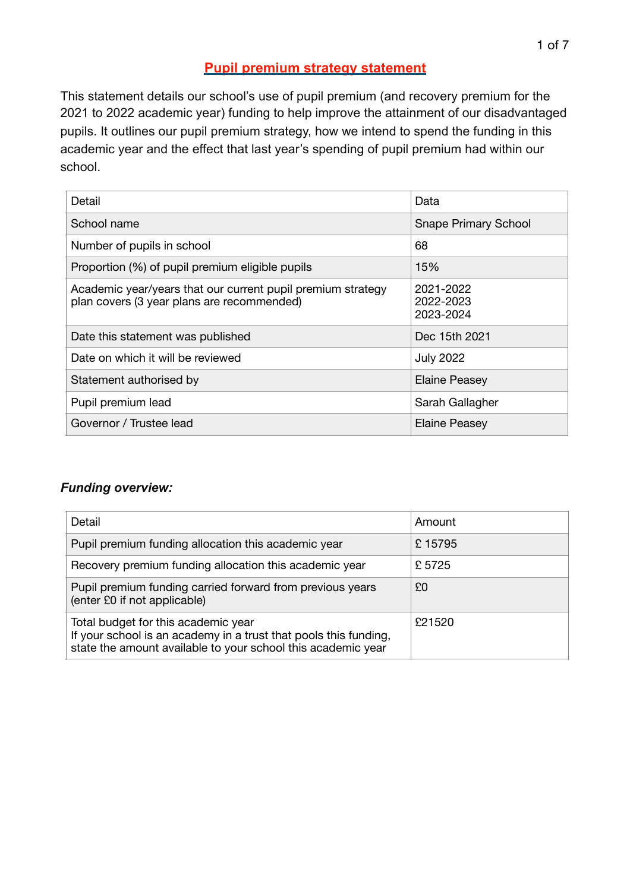## **Pupil premium strategy statement**

This statement details our school's use of pupil premium (and recovery premium for the 2021 to 2022 academic year) funding to help improve the attainment of our disadvantaged pupils. It outlines our pupil premium strategy, how we intend to spend the funding in this academic year and the effect that last year's spending of pupil premium had within our school.

| Detail                                                                                                    | Data                                |
|-----------------------------------------------------------------------------------------------------------|-------------------------------------|
| School name                                                                                               | <b>Snape Primary School</b>         |
| Number of pupils in school                                                                                | 68                                  |
| Proportion (%) of pupil premium eligible pupils                                                           | 15%                                 |
| Academic year/years that our current pupil premium strategy<br>plan covers (3 year plans are recommended) | 2021-2022<br>2022-2023<br>2023-2024 |
| Date this statement was published                                                                         | Dec 15th 2021                       |
| Date on which it will be reviewed                                                                         | <b>July 2022</b>                    |
| Statement authorised by                                                                                   | <b>Elaine Peasey</b>                |
| Pupil premium lead                                                                                        | Sarah Gallagher                     |
| Governor / Trustee lead                                                                                   | Elaine Peasey                       |

### *Funding overview:*

| Detail                                                                                                                                                                  | Amount |
|-------------------------------------------------------------------------------------------------------------------------------------------------------------------------|--------|
| Pupil premium funding allocation this academic year                                                                                                                     | £15795 |
| Recovery premium funding allocation this academic year                                                                                                                  | £5725  |
| Pupil premium funding carried forward from previous years<br>(enter £0 if not applicable)                                                                               | £0     |
| Total budget for this academic year<br>If your school is an academy in a trust that pools this funding,<br>state the amount available to your school this academic year | £21520 |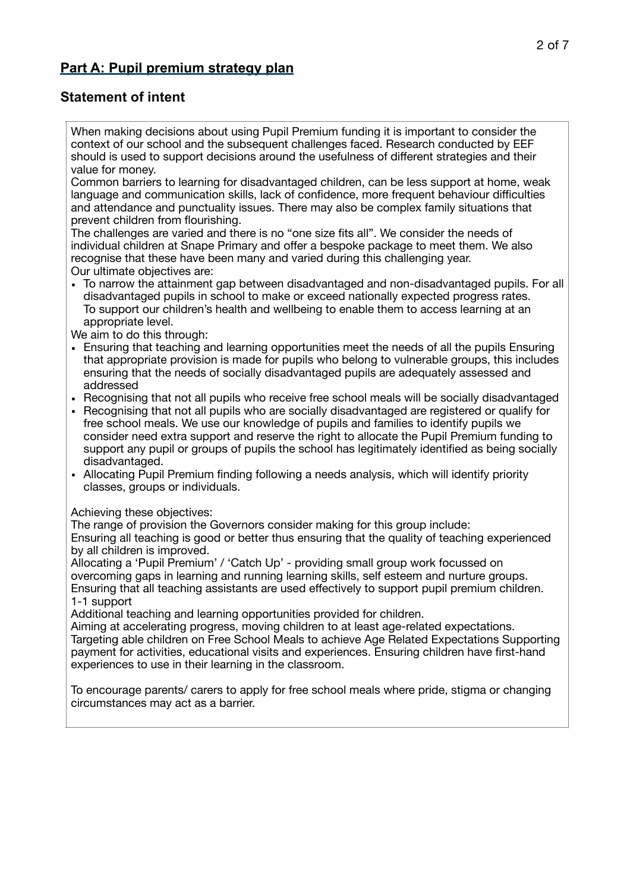## **Part A: Pupil premium strategy plan**

## **Statement of intent**

When making decisions about using Pupil Premium funding it is important to consider the context of our school and the subsequent challenges faced. Research conducted by EEF should is used to support decisions around the usefulness of different strategies and their value for money.

Common barriers to learning for disadvantaged children, can be less support at home, weak language and communication skills, lack of confidence, more frequent behaviour difficulties and attendance and punctuality issues. There may also be complex family situations that prevent children from flourishing.

The challenges are varied and there is no "one size fits all". We consider the needs of individual children at Snape Primary and offer a bespoke package to meet them. We also recognise that these have been many and varied during this challenging year. Our ultimate objectives are:

• To narrow the attainment gap between disadvantaged and non-disadvantaged pupils. For all disadvantaged pupils in school to make or exceed nationally expected progress rates. To support our children's health and wellbeing to enable them to access learning at an appropriate level.

We aim to do this through:

- Ensuring that teaching and learning opportunities meet the needs of all the pupils Ensuring that appropriate provision is made for pupils who belong to vulnerable groups, this includes ensuring that the needs of socially disadvantaged pupils are adequately assessed and addressed
- Recognising that not all pupils who receive free school meals will be socially disadvantaged
- Recognising that not all pupils who are socially disadvantaged are registered or qualify for free school meals. We use our knowledge of pupils and families to identify pupils we consider need extra support and reserve the right to allocate the Pupil Premium funding to support any pupil or groups of pupils the school has legitimately identified as being socially disadvantaged.
- Allocating Pupil Premium finding following a needs analysis, which will identify priority classes, groups or individuals.

Achieving these objectives:

The range of provision the Governors consider making for this group include:

Ensuring all teaching is good or better thus ensuring that the quality of teaching experienced by all children is improved.

Allocating a 'Pupil Premium' / 'Catch Up' - providing small group work focussed on overcoming gaps in learning and running learning skills, self esteem and nurture groups. Ensuring that all teaching assistants are used effectively to support pupil premium children. 1-1 support

Additional teaching and learning opportunities provided for children.

Aiming at accelerating progress, moving children to at least age-related expectations. Targeting able children on Free School Meals to achieve Age Related Expectations Supporting payment for activities, educational visits and experiences. Ensuring children have first-hand experiences to use in their learning in the classroom.

To encourage parents/ carers to apply for free school meals where pride, stigma or changing circumstances may act as a barrier.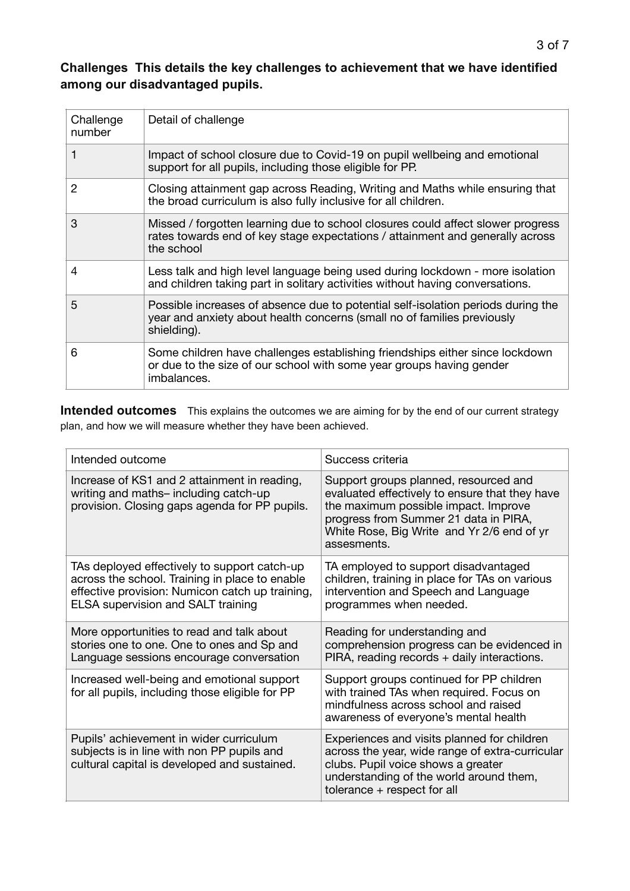## **Challenges This details the key challenges to achievement that we have identified among our disadvantaged pupils.**

| Challenge<br>number | Detail of challenge                                                                                                                                                            |
|---------------------|--------------------------------------------------------------------------------------------------------------------------------------------------------------------------------|
|                     | Impact of school closure due to Covid-19 on pupil wellbeing and emotional<br>support for all pupils, including those eligible for PP.                                          |
| 2                   | Closing attainment gap across Reading, Writing and Maths while ensuring that<br>the broad curriculum is also fully inclusive for all children.                                 |
| 3                   | Missed / forgotten learning due to school closures could affect slower progress<br>rates towards end of key stage expectations / attainment and generally across<br>the school |
| 4                   | Less talk and high level language being used during lockdown - more isolation<br>and children taking part in solitary activities without having conversations.                 |
| 5                   | Possible increases of absence due to potential self-isolation periods during the<br>year and anxiety about health concerns (small no of families previously<br>shielding).     |
| 6                   | Some children have challenges establishing friendships either since lockdown<br>or due to the size of our school with some year groups having gender<br>imbalances.            |

**Intended outcomes** This explains the outcomes we are aiming for by the end of our current strategy plan, and how we will measure whether they have been achieved.

| Intended outcome                                                                                                                                                                        | Success criteria                                                                                                                                                                                                                      |
|-----------------------------------------------------------------------------------------------------------------------------------------------------------------------------------------|---------------------------------------------------------------------------------------------------------------------------------------------------------------------------------------------------------------------------------------|
| Increase of KS1 and 2 attainment in reading,<br>writing and maths- including catch-up<br>provision. Closing gaps agenda for PP pupils.                                                  | Support groups planned, resourced and<br>evaluated effectively to ensure that they have<br>the maximum possible impact. Improve<br>progress from Summer 21 data in PIRA,<br>White Rose, Big Write and Yr 2/6 end of yr<br>assesments. |
| TAs deployed effectively to support catch-up<br>across the school. Training in place to enable<br>effective provision: Numicon catch up training,<br>ELSA supervision and SALT training | TA employed to support disadvantaged<br>children, training in place for TAs on various<br>intervention and Speech and Language<br>programmes when needed.                                                                             |
| More opportunities to read and talk about<br>stories one to one. One to ones and Sp and<br>Language sessions encourage conversation                                                     | Reading for understanding and<br>comprehension progress can be evidenced in<br>PIRA, reading records + daily interactions.                                                                                                            |
| Increased well-being and emotional support<br>for all pupils, including those eligible for PP                                                                                           | Support groups continued for PP children<br>with trained TAs when required. Focus on<br>mindfulness across school and raised<br>awareness of everyone's mental health                                                                 |
| Pupils' achievement in wider curriculum<br>subjects is in line with non PP pupils and<br>cultural capital is developed and sustained.                                                   | Experiences and visits planned for children<br>across the year, wide range of extra-curricular<br>clubs. Pupil voice shows a greater<br>understanding of the world around them,<br>tolerance + respect for all                        |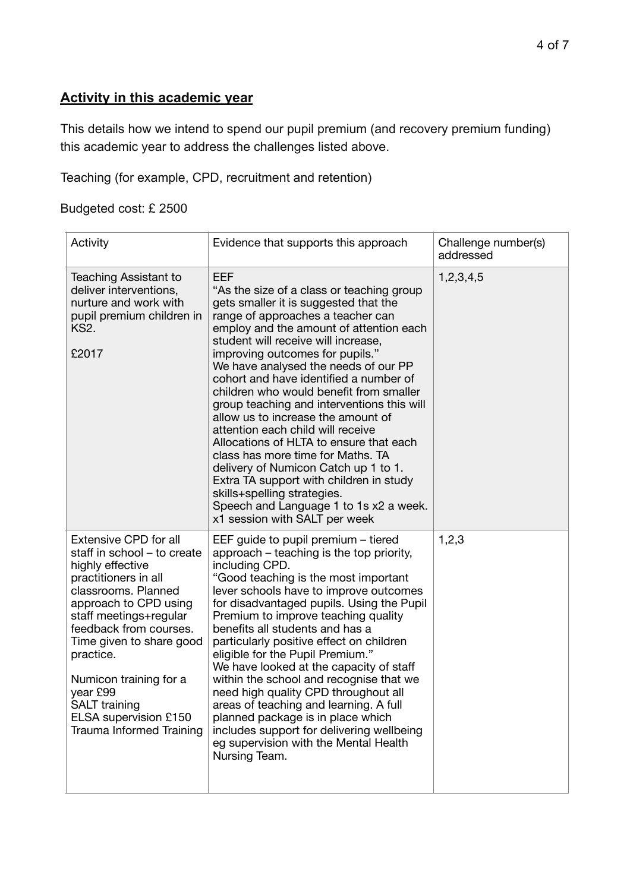## **Activity in this academic year**

This details how we intend to spend our pupil premium (and recovery premium funding) this academic year to address the challenges listed above.

Teaching (for example, CPD, recruitment and retention)

## Budgeted cost: £ 2500

| Activity                                                                                                                                                                                                                                                                                                                                                                       | Evidence that supports this approach                                                                                                                                                                                                                                                                                                                                                                                                                                                                                                                                                                                                                                                                                                                                                   | Challenge number(s)<br>addressed |
|--------------------------------------------------------------------------------------------------------------------------------------------------------------------------------------------------------------------------------------------------------------------------------------------------------------------------------------------------------------------------------|----------------------------------------------------------------------------------------------------------------------------------------------------------------------------------------------------------------------------------------------------------------------------------------------------------------------------------------------------------------------------------------------------------------------------------------------------------------------------------------------------------------------------------------------------------------------------------------------------------------------------------------------------------------------------------------------------------------------------------------------------------------------------------------|----------------------------------|
| Teaching Assistant to<br>deliver interventions,<br>nurture and work with<br>pupil premium children in<br>KS2.<br>£2017                                                                                                                                                                                                                                                         | EEF<br>"As the size of a class or teaching group<br>gets smaller it is suggested that the<br>range of approaches a teacher can<br>employ and the amount of attention each<br>student will receive will increase,<br>improving outcomes for pupils."<br>We have analysed the needs of our PP<br>cohort and have identified a number of<br>children who would benefit from smaller<br>group teaching and interventions this will<br>allow us to increase the amount of<br>attention each child will receive<br>Allocations of HLTA to ensure that each<br>class has more time for Maths. TA<br>delivery of Numicon Catch up 1 to 1.<br>Extra TA support with children in study<br>skills+spelling strategies.<br>Speech and Language 1 to 1s x2 a week.<br>x1 session with SALT per week | 1,2,3,4,5                        |
| <b>Extensive CPD for all</b><br>staff in school - to create<br>highly effective<br>practitioners in all<br>classrooms. Planned<br>approach to CPD using<br>staff meetings+regular<br>feedback from courses.<br>Time given to share good<br>practice.<br>Numicon training for a<br>year £99<br><b>SALT</b> training<br>ELSA supervision £150<br><b>Trauma Informed Training</b> | EEF guide to pupil premium – tiered<br>approach – teaching is the top priority,<br>including CPD.<br>"Good teaching is the most important<br>lever schools have to improve outcomes<br>for disadvantaged pupils. Using the Pupil<br>Premium to improve teaching quality<br>benefits all students and has a<br>particularly positive effect on children<br>eligible for the Pupil Premium."<br>We have looked at the capacity of staff<br>within the school and recognise that we<br>need high quality CPD throughout all<br>areas of teaching and learning. A full<br>planned package is in place which<br>includes support for delivering wellbeing<br>eg supervision with the Mental Health<br>Nursing Team.                                                                         | 1,2,3                            |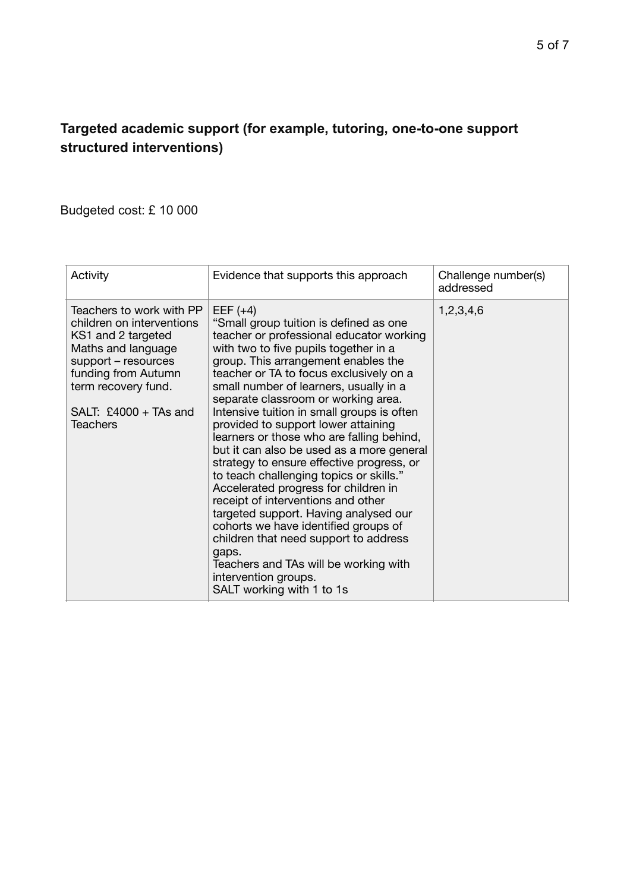#### $5$  of 7

## **Targeted academic support (for example, tutoring, one-to-one support structured interventions)**

## Budgeted cost: £ 10 000

| Activity                                                                                                                                                                                                      | Evidence that supports this approach                                                                                                                                                                                                                                                                                                                                                                                                                                                                                                                                                                                                                                                                                                                                                                                                                                                               | Challenge number(s)<br>addressed |
|---------------------------------------------------------------------------------------------------------------------------------------------------------------------------------------------------------------|----------------------------------------------------------------------------------------------------------------------------------------------------------------------------------------------------------------------------------------------------------------------------------------------------------------------------------------------------------------------------------------------------------------------------------------------------------------------------------------------------------------------------------------------------------------------------------------------------------------------------------------------------------------------------------------------------------------------------------------------------------------------------------------------------------------------------------------------------------------------------------------------------|----------------------------------|
| Teachers to work with PP<br>children on interventions<br>KS1 and 2 targeted<br>Maths and language<br>support – resources<br>funding from Autumn<br>term recovery fund.<br>SALT: $£4000 + TAs$ and<br>Teachers | EEF $(+4)$<br>"Small group tuition is defined as one<br>teacher or professional educator working<br>with two to five pupils together in a<br>group. This arrangement enables the<br>teacher or TA to focus exclusively on a<br>small number of learners, usually in a<br>separate classroom or working area.<br>Intensive tuition in small groups is often<br>provided to support lower attaining<br>learners or those who are falling behind,<br>but it can also be used as a more general<br>strategy to ensure effective progress, or<br>to teach challenging topics or skills."<br>Accelerated progress for children in<br>receipt of interventions and other<br>targeted support. Having analysed our<br>cohorts we have identified groups of<br>children that need support to address<br>gaps.<br>Teachers and TAs will be working with<br>intervention groups.<br>SALT working with 1 to 1s | 1,2,3,4,6                        |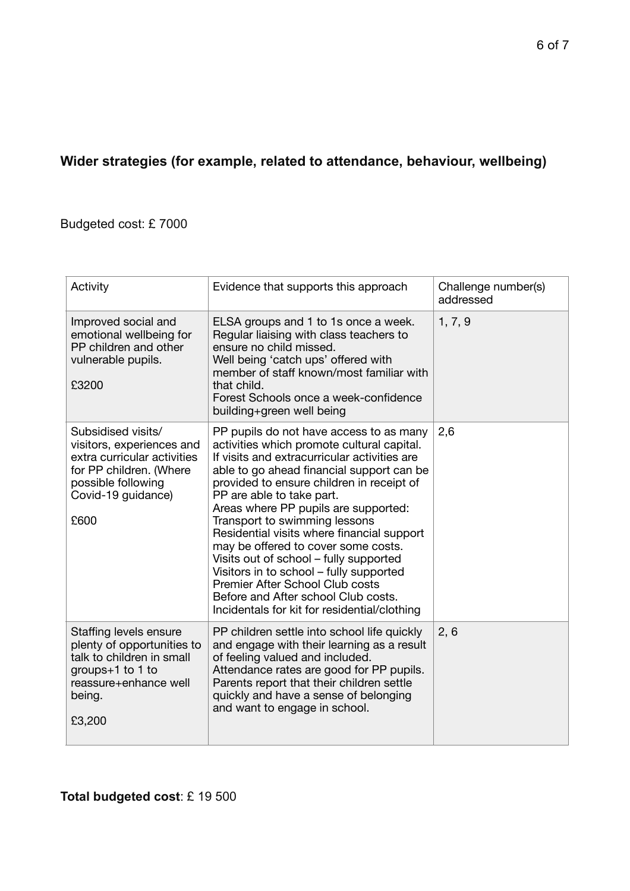# **Wider strategies (for example, related to attendance, behaviour, wellbeing)**

Budgeted cost: £ 7000

| Activity                                                                                                                                                      | Evidence that supports this approach                                                                                                                                                                                                                                                                                                                                                                                                                                                                                                                                                                                                      | Challenge number(s)<br>addressed |
|---------------------------------------------------------------------------------------------------------------------------------------------------------------|-------------------------------------------------------------------------------------------------------------------------------------------------------------------------------------------------------------------------------------------------------------------------------------------------------------------------------------------------------------------------------------------------------------------------------------------------------------------------------------------------------------------------------------------------------------------------------------------------------------------------------------------|----------------------------------|
| Improved social and<br>emotional wellbeing for<br>PP children and other<br>vulnerable pupils.<br>£3200                                                        | ELSA groups and 1 to 1s once a week.<br>Regular liaising with class teachers to<br>ensure no child missed.<br>Well being 'catch ups' offered with<br>member of staff known/most familiar with<br>that child.<br>Forest Schools once a week-confidence<br>building+green well being                                                                                                                                                                                                                                                                                                                                                        | 1, 7, 9                          |
| Subsidised visits/<br>visitors, experiences and<br>extra curricular activities<br>for PP children. (Where<br>possible following<br>Covid-19 guidance)<br>£600 | PP pupils do not have access to as many<br>activities which promote cultural capital.<br>If visits and extracurricular activities are<br>able to go ahead financial support can be<br>provided to ensure children in receipt of<br>PP are able to take part.<br>Areas where PP pupils are supported:<br>Transport to swimming lessons<br>Residential visits where financial support<br>may be offered to cover some costs.<br>Visits out of school – fully supported<br>Visitors in to school - fully supported<br>Premier After School Club costs<br>Before and After school Club costs.<br>Incidentals for kit for residential/clothing | 2,6                              |
| Staffing levels ensure<br>plenty of opportunities to<br>talk to children in small<br>groups+1 to 1 to<br>reassure+enhance well<br>being.<br>£3,200            | PP children settle into school life quickly<br>and engage with their learning as a result<br>of feeling valued and included.<br>Attendance rates are good for PP pupils.<br>Parents report that their children settle<br>quickly and have a sense of belonging<br>and want to engage in school.                                                                                                                                                                                                                                                                                                                                           | 2, 6                             |